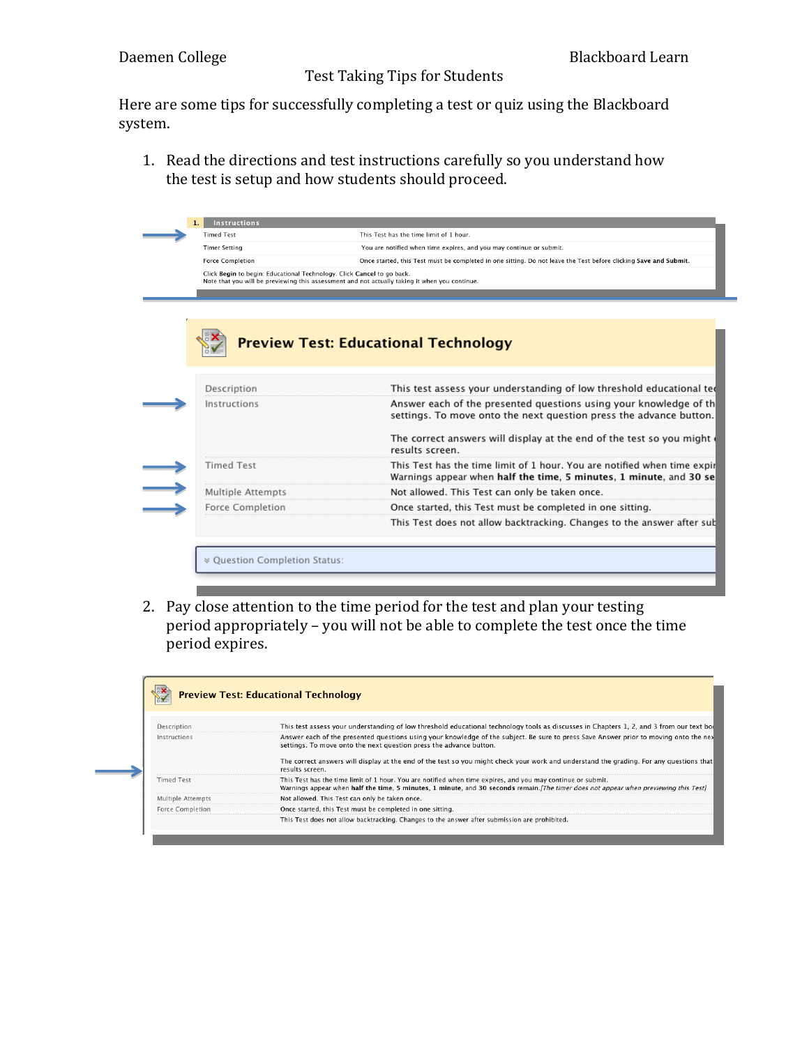Here are some tips for successfully completing a test or quiz using the Blackboard system.

1. Read the directions and test instructions carefully so you understand how the test is setup and how students should proceed.

| <b>Timed Test</b>                                                      | This Test has the time limit of 1 hour.                                                                                                        |
|------------------------------------------------------------------------|------------------------------------------------------------------------------------------------------------------------------------------------|
| <b>Timer Setting</b>                                                   | You are notified when time expires, and you may continue or submit.                                                                            |
| <b>Force Completion</b>                                                | Once started, this Test must be completed in one sitting. Do not leave the Test before clicking Save and Submit.                               |
| Click Begin to begin: Educational Technology. Click Cancel to go back. | Note that you will be previewing this assessment and not actually taking it when you continue.                                                 |
|                                                                        |                                                                                                                                                |
|                                                                        |                                                                                                                                                |
|                                                                        |                                                                                                                                                |
|                                                                        | <b>Preview Test: Educational Technology</b>                                                                                                    |
|                                                                        |                                                                                                                                                |
| Description                                                            | This test assess your understanding of low threshold educational ted                                                                           |
| Instructions                                                           | Answer each of the presented questions using your knowledge of th<br>settings. To move onto the next question press the advance button.        |
|                                                                        | The correct answers will display at the end of the test so you might<br>results screen.                                                        |
|                                                                        | This Test has the time limit of 1 hour. You are notified when time expir<br>Warnings appear when half the time, 5 minutes, 1 minute, and 30 se |
| <b>Timed Test</b>                                                      |                                                                                                                                                |
| Multiple Attempts                                                      | Not allowed. This Test can only be taken once.                                                                                                 |
| Force Completion                                                       | Once started, this Test must be completed in one sitting.                                                                                      |
|                                                                        | This Test does not allow backtracking. Changes to the answer after sull                                                                        |

2. Pay close attention to the time period for the test and plan your testing period appropriately – you will not be able to complete the test once the time period expires.

| <b>Preview Test: Educational Technology</b> |                                                                                                                                                                                                                                                     |
|---------------------------------------------|-----------------------------------------------------------------------------------------------------------------------------------------------------------------------------------------------------------------------------------------------------|
| Description                                 | This test assess your understanding of low threshold educational technology tools as discusses in Chapters 1, 2, and 3 from our text bool                                                                                                           |
| Instructions                                | Answer each of the presented questions using your knowledge of the subject. Be sure to press Save Answer prior to moving onto the nex<br>settings. To move onto the next question press the advance button.                                         |
|                                             | The correct answers will display at the end of the test so you might check your work and understand the grading. For any questions that<br>results screen.                                                                                          |
| <b>Timed Test</b>                           | This Test has the time limit of 1 hour. You are notified when time expires, and you may continue or submit.<br>Warnings appear when half the time, 5 minutes, 1 minute, and 30 seconds remain. The timer does not appear when previewing this Testl |
| Multiple Attempts                           | Not allowed. This Test can only be taken once.                                                                                                                                                                                                      |
| <b>Force Completion</b>                     | Once started, this Test must be completed in one sitting.                                                                                                                                                                                           |
|                                             | This Test does not allow backtracking. Changes to the answer after submission are prohibited.                                                                                                                                                       |